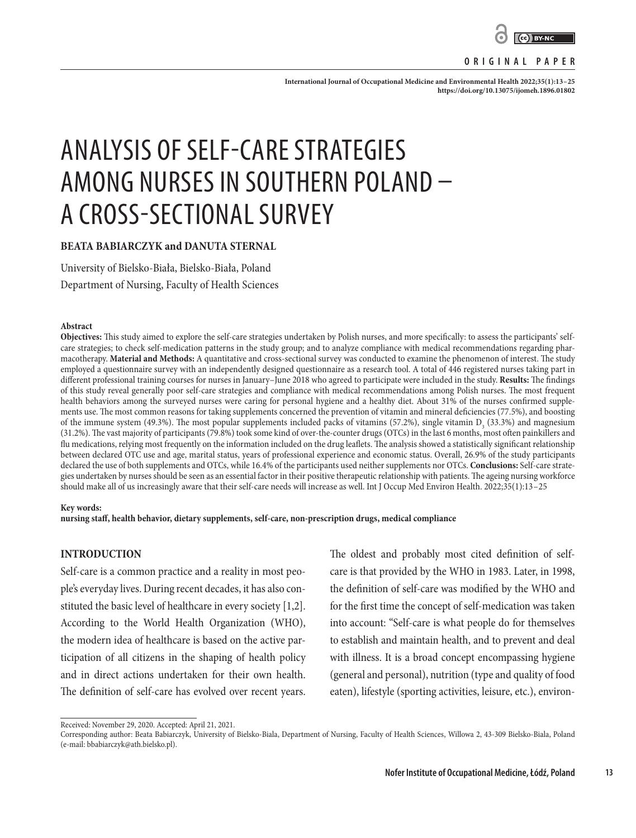

### **ORIGINAL PAPER**

**International Journal of Occupational Medicine and Environmental Health 2022;35(1):13–25 <https://doi.org/10.13075/ijomeh.1896.01802>**

# ANALYSIS OF SELF-CARE STRATEGIES AMONG NURSES IN SOUTHERN POLAND – A CROSS-SECTIONAL SURVEY

# **BEATA BABIARCZYK and DANUTA STERNAL**

University of Bielsko-Biała, Bielsko-Biała, Poland

Department of Nursing, Faculty of Health Sciences

#### **Abstract**

**Objectives:** This study aimed to explore the self-care strategies undertaken by Polish nurses, and more specifically: to assess the participants' selfcare strategies; to check self-medication patterns in the study group; and to analyze compliance with medical recommendations regarding pharmacotherapy. **Material and Methods:** A quantitative and cross-sectional survey was conducted to examine the phenomenon of interest. The study employed a questionnaire survey with an independently designed questionnaire as a research tool. A total of 446 registered nurses taking part in different professional training courses for nurses in January–June 2018 who agreed to participate were included in the study. **Results:** The findings of this study reveal generally poor self-care strategies and compliance with medical recommendations among Polish nurses. The most frequent health behaviors among the surveyed nurses were caring for personal hygiene and a healthy diet. About 31% of the nurses confirmed supplements use. The most common reasons for taking supplements concerned the prevention of vitamin and mineral deficiencies (77.5%), and boosting of the immune system (49.3%). The most popular supplements included packs of vitamins (57.2%), single vitamin  $D_3$  (33.3%) and magnesium (31.2%). The vast majority of participants (79.8%) took some kind of over-the-counter drugs (OTCs) in the last 6 months, most often painkillers and flu medications, relying most frequently on the information included on the drug leaflets. The analysis showed a statistically significant relationship between declared OTC use and age, marital status, years of professional experience and economic status. Overall, 26.9% of the study participants declared the use of both supplements and OTCs, while 16.4% of the participants used neither supplements nor OTCs. **Conclusions:** Self-care strategies undertaken by nurses should be seen as an essential factor in their positive therapeutic relationship with patients. The ageing nursing workforce should make all of us increasingly aware that their self-care needs will increase as well. Int J Occup Med Environ Health. 2022;35(1):13–25

#### **Key words:**

**nursing staff, health behavior, dietary supplements, self-care, non-prescription drugs, medical compliance**

# **INTRODUCTION**

Self-care is a common practice and a reality in most people's everyday lives. During recent decades, it has also constituted the basic level of healthcare in every society [1,2]. According to the World Health Organization (WHO), the modern idea of healthcare is based on the active participation of all citizens in the shaping of health policy and in direct actions undertaken for their own health. The definition of self-care has evolved over recent years. The oldest and probably most cited definition of selfcare is that provided by the WHO in 1983. Later, in 1998, the definition of self-care was modified by the WHO and for the first time the concept of self-medication was taken into account: "Self-care is what people do for themselves to establish and maintain health, and to prevent and deal with illness. It is a broad concept encompassing hygiene (general and personal), nutrition (type and quality of food eaten), lifestyle (sporting activities, leisure, etc.), environ-

Received: November 29, 2020. Accepted: April 21, 2021.

Corresponding author: Beata Babiarczyk, University of Bielsko-Biala, Department of Nursing, Faculty of Health Sciences, Willowa 2, 43-309 Bielsko-Biala, Poland (e-mail: bbabiarczyk@ath.bielsko.pl).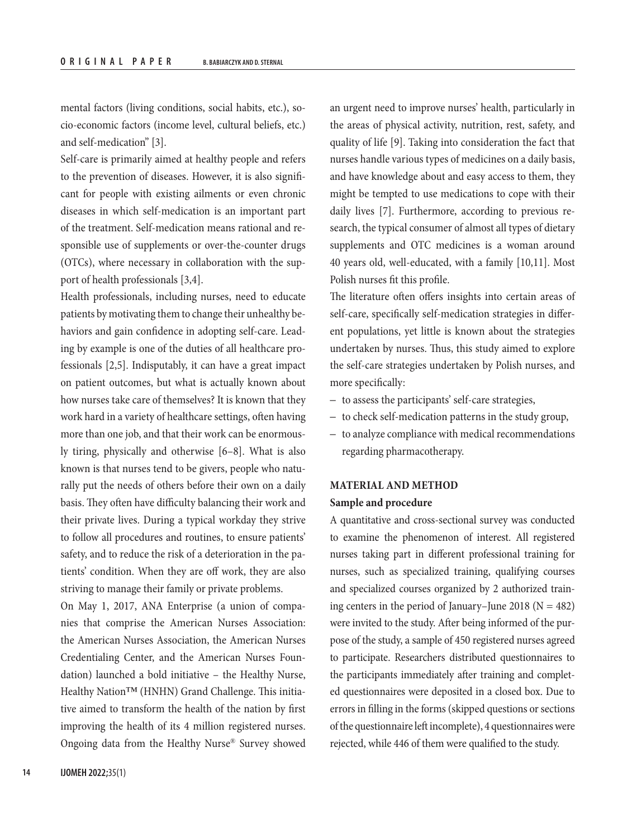mental factors (living conditions, social habits, etc.), socio-economic factors (income level, cultural beliefs, etc.) and self-medication" [3].

Self-care is primarily aimed at healthy people and refers to the prevention of diseases. However, it is also significant for people with existing ailments or even chronic diseases in which self-medication is an important part of the treatment. Self-medication means rational and responsible use of supplements or over-the-counter drugs (OTCs), where necessary in collaboration with the support of health professionals [3,4].

Health professionals, including nurses, need to educate patients by motivating them to change their unhealthy behaviors and gain confidence in adopting self-care. Leading by example is one of the duties of all healthcare professionals [2,5]. Indisputably, it can have a great impact on patient outcomes, but what is actually known about how nurses take care of themselves? It is known that they work hard in a variety of healthcare settings, often having more than one job, and that their work can be enormously tiring, physically and otherwise [6–8]. What is also known is that nurses tend to be givers, people who naturally put the needs of others before their own on a daily basis. They often have difficulty balancing their work and their private lives. During a typical workday they strive to follow all procedures and routines, to ensure patients' safety, and to reduce the risk of a deterioration in the patients' condition. When they are off work, they are also striving to manage their family or private problems.

On May 1, 2017, ANA Enterprise (a union of companies that comprise the American Nurses Association: the American Nurses Association, the American Nurses Credentialing Center, and the American Nurses Foundation) launched a bold initiative – the Healthy Nurse, Healthy Nation™ (HNHN) Grand Challenge. This initiative aimed to transform the health of the nation by first improving the health of its 4 million registered nurses. Ongoing data from the Healthy Nurse® Survey showed an urgent need to improve nurses' health, particularly in the areas of physical activity, nutrition, rest, safety, and quality of life [9]. Taking into consideration the fact that nurses handle various types of medicines on a daily basis, and have knowledge about and easy access to them, they might be tempted to use medications to cope with their daily lives [7]. Furthermore, according to previous research, the typical consumer of almost all types of dietary supplements and OTC medicines is a woman around 40 years old, well-educated, with a family [10,11]. Most Polish nurses fit this profile.

The literature often offers insights into certain areas of self-care, specifically self-medication strategies in different populations, yet little is known about the strategies undertaken by nurses. Thus, this study aimed to explore the self-care strategies undertaken by Polish nurses, and more specifically:

- to assess the participants' self-care strategies,
- to check self-medication patterns in the study group,
- to analyze compliance with medical recommendations regarding pharmacotherapy.

# **MATERIAL AND METHOD**

# **Sample and procedure**

A quantitative and cross-sectional survey was conducted to examine the phenomenon of interest. All registered nurses taking part in different professional training for nurses, such as specialized training, qualifying courses and specialized courses organized by 2 authorized training centers in the period of January–June 2018 ( $N = 482$ ) were invited to the study. After being informed of the purpose of the study, a sample of 450 registered nurses agreed to participate. Researchers distributed questionnaires to the participants immediately after training and completed questionnaires were deposited in a closed box. Due to errors in filling in the forms (skipped questions or sections of the questionnaire left incomplete), 4 questionnaires were rejected, while 446 of them were qualified to the study.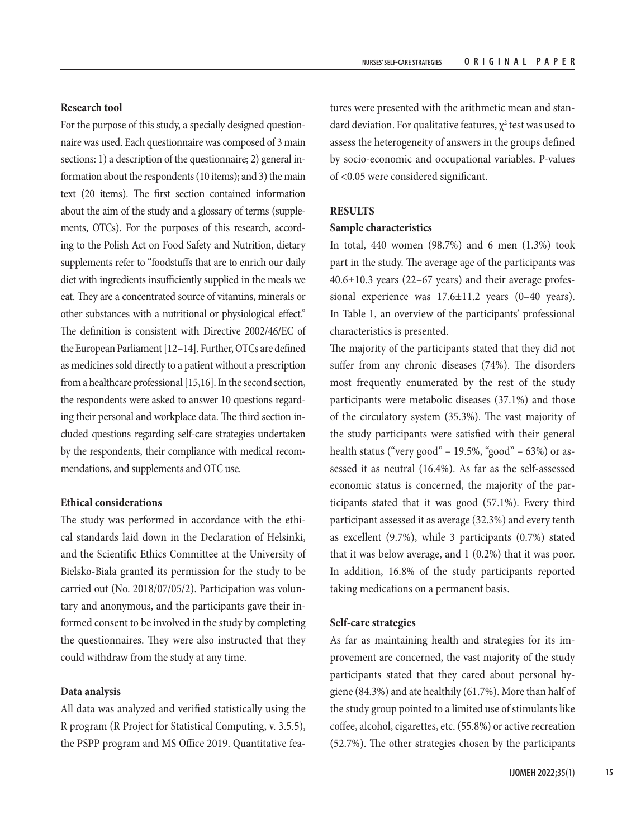# **Research tool**

For the purpose of this study, a specially designed questionnaire was used. Each questionnaire was composed of 3 main sections: 1) a description of the questionnaire; 2) general information about the respondents (10 items); and 3) the main text (20 items). The first section contained information about the aim of the study and a glossary of terms (supplements, OTCs). For the purposes of this research, according to the Polish Act on Food Safety and Nutrition, dietary supplements refer to "foodstuffs that are to enrich our daily diet with ingredients insufficiently supplied in the meals we eat. They are a concentrated source of vitamins, minerals or other substances with a nutritional or physiological effect." The definition is consistent with Directive 2002/46/EC of the European Parliament [12–14]. Further, OTCs are defined as medicines sold directly to a patient without a prescription from a healthcare professional [15,16]. In the second section, the respondents were asked to answer 10 questions regarding their personal and workplace data. The third section included questions regarding self-care strategies undertaken by the respondents, their compliance with medical recommendations, and supplements and OTC use.

# **Ethical considerations**

The study was performed in accordance with the ethical standards laid down in the Declaration of Helsinki, and the Scientific Ethics Committee at the University of Bielsko-Biala granted its permission for the study to be carried out (No. 2018/07/05/2). Participation was voluntary and anonymous, and the participants gave their informed consent to be involved in the study by completing the questionnaires. They were also instructed that they could withdraw from the study at any time.

# **Data analysis**

All data was analyzed and verified statistically using the R program (R Project for Statistical Computing, v. 3.5.5), the PSPP program and MS Office 2019. Quantitative fea-

tures were presented with the arithmetic mean and standard deviation. For qualitative features,  $\chi^2$  test was used to assess the heterogeneity of answers in the groups defined by socio-economic and occupational variables. P-values of <0.05 were considered significant.

# **RESULTS**

#### **Sample characteristics**

In total, 440 women (98.7%) and 6 men (1.3%) took part in the study. The average age of the participants was 40.6±10.3 years (22–67 years) and their average professional experience was 17.6±11.2 years (0–40 years). In Table 1, an overview of the participants' professional characteristics is presented.

The majority of the participants stated that they did not suffer from any chronic diseases (74%). The disorders most frequently enumerated by the rest of the study participants were metabolic diseases (37.1%) and those of the circulatory system (35.3%). The vast majority of the study participants were satisfied with their general health status ("very good" – 19.5%, "good" – 63%) or assessed it as neutral (16.4%). As far as the self-assessed economic status is concerned, the majority of the participants stated that it was good (57.1%). Every third participant assessed it as average (32.3%) and every tenth as excellent (9.7%), while 3 participants (0.7%) stated that it was below average, and 1 (0.2%) that it was poor. In addition, 16.8% of the study participants reported taking medications on a permanent basis.

# **Self-care strategies**

As far as maintaining health and strategies for its improvement are concerned, the vast majority of the study participants stated that they cared about personal hygiene (84.3%) and ate healthily (61.7%). More than half of the study group pointed to a limited use of stimulants like coffee, alcohol, cigarettes, etc. (55.8%) or active recreation (52.7%). The other strategies chosen by the participants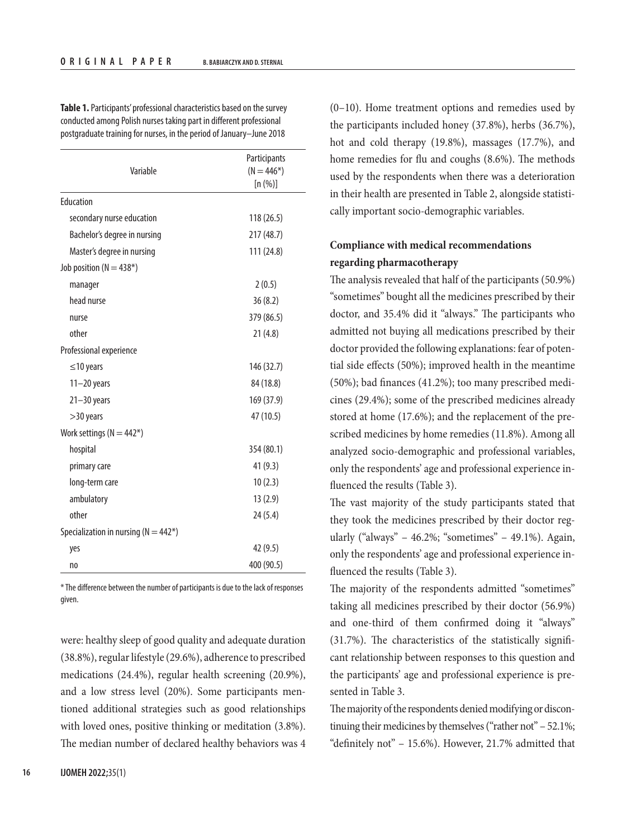**Table 1.** Participants' professional characteristics based on the survey conducted among Polish nurses taking part in different professional postgraduate training for nurses, in the period of January–June 2018

| Variable                                             | Participants<br>$(N = 446*)$<br>[n (%)] |
|------------------------------------------------------|-----------------------------------------|
| Education                                            |                                         |
| secondary nurse education                            | 118(26.5)                               |
| Bachelor's degree in nursing                         | 217 (48.7)                              |
| Master's degree in nursing                           | 111 (24.8)                              |
| Job position ( $N = 438$ <sup>*</sup> )              |                                         |
| manager                                              | 2(0.5)                                  |
| head nurse                                           | 36(8.2)                                 |
| nurse                                                | 379 (86.5)                              |
| other                                                | 21(4.8)                                 |
| Professional experience                              |                                         |
| ≤10 years                                            | 146 (32.7)                              |
| $11 - 20$ years                                      | 84 (18.8)                               |
| $21 - 30$ years                                      | 169 (37.9)                              |
| >30 years                                            | 47 (10.5)                               |
| Work settings ( $N = 442$ <sup>*</sup> )             |                                         |
| hospital                                             | 354 (80.1)                              |
| primary care                                         | 41(9.3)                                 |
| long-term care                                       | 10(2.3)                                 |
| ambulatory                                           | 13(2.9)                                 |
| other                                                | 24(5.4)                                 |
| Specialization in nursing ( $N = 442$ <sup>*</sup> ) |                                         |
| yes                                                  | 42 (9.5)                                |
| no                                                   | 400 (90.5)                              |

\* The difference between the number of participants is due to the lack of responses given.

were: healthy sleep of good quality and adequate duration (38.8%), regular lifestyle (29.6%), adherence to prescribed medications (24.4%), regular health screening (20.9%), and a low stress level (20%). Some participants mentioned additional strategies such as good relationships with loved ones, positive thinking or meditation (3.8%). The median number of declared healthy behaviors was 4

(0–10). Home treatment options and remedies used by the participants included honey (37.8%), herbs (36.7%), hot and cold therapy (19.8%), massages (17.7%), and home remedies for flu and coughs (8.6%). The methods used by the respondents when there was a deterioration in their health are presented in Table 2, alongside statistically important socio-demographic variables.

# **Compliance with medical recommendations regarding pharmacotherapy**

The analysis revealed that half of the participants (50.9%) "sometimes" bought all the medicines prescribed by their doctor, and 35.4% did it "always." The participants who admitted not buying all medications prescribed by their doctor provided the following explanations: fear of potential side effects (50%); improved health in the meantime (50%); bad finances (41.2%); too many prescribed medicines (29.4%); some of the prescribed medicines already stored at home (17.6%); and the replacement of the prescribed medicines by home remedies (11.8%). Among all analyzed socio-demographic and professional variables, only the respondents' age and professional experience influenced the results (Table 3).

The vast majority of the study participants stated that they took the medicines prescribed by their doctor regularly ("always" – 46.2%; "sometimes" – 49.1%). Again, only the respondents' age and professional experience influenced the results (Table 3).

The majority of the respondents admitted "sometimes" taking all medicines prescribed by their doctor (56.9%) and one-third of them confirmed doing it "always" (31.7%). The characteristics of the statistically significant relationship between responses to this question and the participants' age and professional experience is presented in Table 3.

The majority of the respondents denied modifying or discontinuing their medicines by themselves ("rather not" – 52.1%; "definitely not" – 15.6%). However, 21.7% admitted that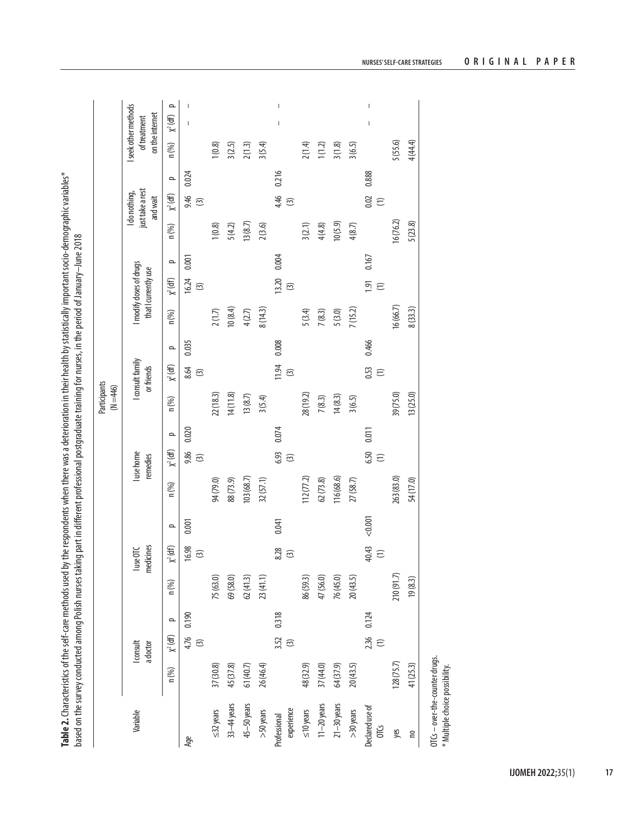Table 2. Characteristics of the self-care methods used by the respondents when there was a deterioration in their health by statistically important socio-demographic variables\* **Table 2.** Characteristics of the self-care methods used by the respondents when there was a deterioration in their health by statistically important socio-demographic variables\* based on the survey conducted among Polish nurses taking part in different professional postgraduate training for nurses, in the period of January-June 2018 based on the survey conducted among Polish nurses taking part in different professional postgraduate training for nurses, in the period of January–June 2018

|                                |           |                          |                     |            |                        |          |            |                                 |          | Participants<br>$(N = 446)$ |                                |          |          |                                               |          |           |                                               |          |          |                                                         |
|--------------------------------|-----------|--------------------------|---------------------|------------|------------------------|----------|------------|---------------------------------|----------|-----------------------------|--------------------------------|----------|----------|-----------------------------------------------|----------|-----------|-----------------------------------------------|----------|----------|---------------------------------------------------------|
| Variable                       |           | $I$ consult<br>adoctor   |                     |            | medicines<br>luse OTC  |          |            | I use home<br>remedies          |          |                             | I consult family<br>or friends |          |          | modify doses of drugs<br>that I currently use |          |           | just take a rest<br>I do nothing,<br>and wait |          |          | I seek other methods<br>on the internet<br>of treatment |
|                                | n (%)     | $\chi^2$ (df)            | $\Omega$            | n (%)      | $\chi^2$ (df)          | $\Omega$ | n (%)      | $X^2$ (df)                      | $\Omega$ | n (%)                       | $\chi^2$ (df)                  | $\Omega$ | n(%)     | $\chi^2$ (df)                                 | $\Omega$ | $n$ (%)   | $\chi^2$ (df)                                 | $\Omega$ | n (%)    | $\Omega$<br>$X^2$ (df)                                  |
| Age                            |           | $\widehat{\mathfrak{D}}$ | 4.76 0.190          |            | 16.98<br>$\odot$       | 0.001    |            | 9.86<br>$\widehat{\mathcal{L}}$ | 0.020    |                             | 8.64<br>$\odot$                | 0.035    |          | 16.24<br>$\odot$                              | 0.001    |           | 9.46<br>$\widehat{\odot}$                     | 0.024    |          | I                                                       |
| $\leq$ 32 years                | 37 (30.8) |                          |                     | 75 (63.0)  |                        |          | 94 (79.0)  |                                 |          | 22(18.3)                    |                                |          | 2(1.7)   |                                               |          | 1(0.8)    |                                               |          | 1(0.8)   |                                                         |
| 33-44 years                    | 45 (37.8) |                          |                     | 69 (58.0)  |                        |          | 88 (73.9)  |                                 |          | 14(11.8)                    |                                |          | 10(8.4)  |                                               |          | 5(4.2)    |                                               |          | 3(2.5)   |                                                         |
| 45-50 years                    | 61(40.7)  |                          |                     | 62(41.3)   |                        |          | 103 (68.7) |                                 |          | 13(8.7)                     |                                |          | 4(2.7)   |                                               |          | 13(8.7)   |                                               |          | 2(1.3)   |                                                         |
| $>50$ years                    | 26 (46.4) |                          |                     | 23(41.1)   |                        |          | 32 (57.1)  |                                 |          | 3(5.4)                      |                                |          | 8(14.3)  |                                               |          | 2(3.6)    |                                               |          | 3(5.4)   |                                                         |
| experience<br>Professional     |           | 3.52<br>$\boxed{3}$      | 0.318               |            | 8.28<br>$\odot$        | 0.041    |            | 6.93<br>$\odot$                 | 0.074    |                             | 11.94<br>$\odot$               | 0.008    |          | 13.20<br>$\odot$                              | 0.004    |           | 4.46<br>$\odot$                               | 0.216    |          | $\mid$<br>$\begin{array}{c} \end{array}$                |
| $\leq$ 10 years                | 48 (32.9) |                          |                     | 86 (59.3)  |                        |          | 112(77.2)  |                                 |          | 28 (19.2)                   |                                |          | 5(3.4)   |                                               |          | 3(2.1)    |                                               |          | 2(1.4)   |                                                         |
| $11-20$ years                  | 37 (44.0) |                          |                     | 47 (56.0)  |                        |          | 62(73.8)   |                                 |          | 7(8.3)                      |                                |          | 7(8.3)   |                                               |          | 4(4.8)    |                                               |          | 1(1.2)   |                                                         |
| $21 - 30$ years                | 64 (37.9) |                          |                     | 76 (45.0)  |                        |          | 116 (68.6) |                                 |          | 14(8.3)                     |                                |          | 5(3.0)   |                                               |          | 10(5.9)   |                                               |          | 3(1.8)   |                                                         |
| $>30$ years                    | 20(43.5)  |                          |                     | 20(43.5)   |                        |          | 27 (58.7)  |                                 |          | 3(6.5)                      |                                |          | 7(15.2)  |                                               |          | 4(8.7)    |                                               |          | 3(6.5)   |                                                         |
| Declared use of<br><b>OTCS</b> |           |                          | $2.36$ 0.124<br>(1) |            | 40.43<br>$\widehat{c}$ | < 0.001  |            | 6.50<br>$\widehat{z}$           | 0.011    |                             | 0.53<br>$\widehat{\Xi}$        | 0.466    |          | 1.91<br>$\widehat{z}$                         | 0.167    |           | 0.02<br>$\widehat{z}$                         | 0.888    |          | I<br>$\overline{\phantom{a}}$                           |
| yes                            | 128(75.7) |                          |                     | 210 (91.7) |                        |          | 263 (83.0) |                                 |          | 39 (75.0)                   |                                |          | 16(66.7) |                                               |          | 16 (76.2) |                                               |          | 5(55.6)  |                                                         |
| <b>DU</b>                      | 41 (25.3) |                          |                     | 19(8.3)    |                        |          | 54 (17.0)  |                                 |          | 13 (25.0)                   |                                |          | 8(33.3)  |                                               |          | 5(23.8)   |                                               |          | 4 (44.4) |                                                         |
|                                |           |                          |                     |            |                        |          |            |                                 |          |                             |                                |          |          |                                               |          |           |                                               |          |          |                                                         |

**NURSES' SELF-CARE STRATEGIES ORIGINAL PAPER**

OTCs – over-the-counter drugs. \* Multiple choice possibility.

OTCs - over-the-counter drugs. \* Multiple choice possibility.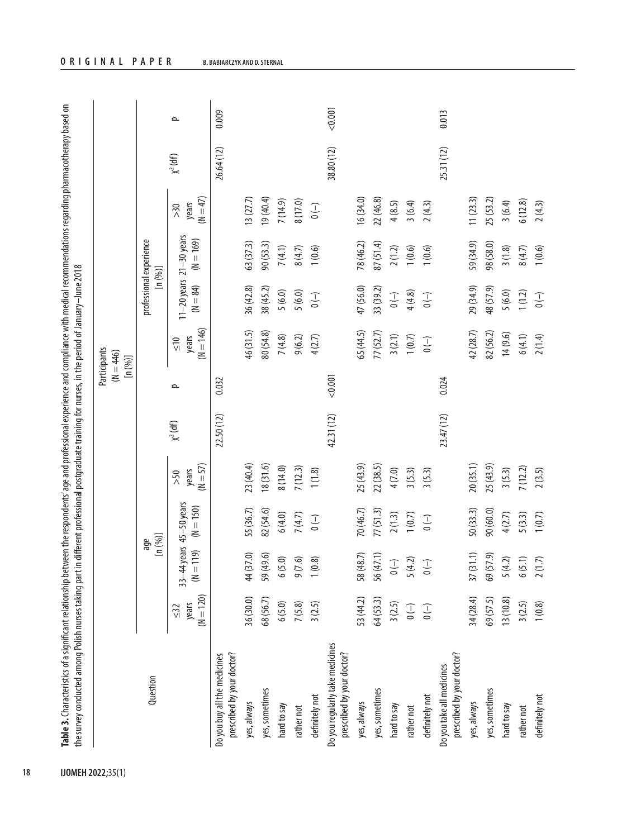| Ś<br>j<br>ć                                                                 |                                                                                              |
|-----------------------------------------------------------------------------|----------------------------------------------------------------------------------------------|
|                                                                             |                                                                                              |
| ؛                                                                           |                                                                                              |
|                                                                             |                                                                                              |
| í                                                                           |                                                                                              |
|                                                                             |                                                                                              |
|                                                                             |                                                                                              |
|                                                                             |                                                                                              |
| ١                                                                           |                                                                                              |
|                                                                             |                                                                                              |
| í<br>١                                                                      |                                                                                              |
| í                                                                           |                                                                                              |
|                                                                             |                                                                                              |
| ١                                                                           |                                                                                              |
| 5                                                                           |                                                                                              |
| ¢                                                                           | I                                                                                            |
|                                                                             |                                                                                              |
| í<br>ī<br>J                                                                 | j                                                                                            |
| ਰ                                                                           | $\ddot{\phantom{a}}$                                                                         |
|                                                                             | $\vdots$<br>1                                                                                |
| Í                                                                           | ţ                                                                                            |
|                                                                             |                                                                                              |
|                                                                             |                                                                                              |
| :                                                                           | ÿ                                                                                            |
|                                                                             | S                                                                                            |
|                                                                             | j                                                                                            |
|                                                                             | i                                                                                            |
|                                                                             | ֧֦֧֦֧֦֧֦֧֦֧֦֧֦֦֧ׅ֧֧֧֧ׅ֧֧ׅ֧֧֛֪֪֪֪֪֪֪֪֛֚֚֚֚֚֚֚֚֝֝֝֝֝֝֜֓֓֝֬֜֝֓֝֬֜֓֓֝֬֜֓֓֝֬֜֝֬֝֬֝֬֝֬֝֬֝֬֝֬֝֬֝֬֝֟ |
| ţ                                                                           | .<br>.<br>.                                                                                  |
|                                                                             |                                                                                              |
| ļ                                                                           |                                                                                              |
|                                                                             | S                                                                                            |
|                                                                             | Ó                                                                                            |
| ֦֧֦֧֦֧֧֦֧֧֦֧֦֧֦֧֦֧֧֦֧֦֧֦֧֦֧֪֦֧֦֧֪֦֧֞֟֘֝֬֝֝֝֟֓֝֟֓֝֬֟֓֟֓֟֓֟֓֟֓֝֟֓֟֓֝֬֟֓֝֬֟֓֝֬ |                                                                                              |
| ś                                                                           | ż                                                                                            |
| Ξ                                                                           |                                                                                              |
| 1                                                                           | ׇ֚֘֡                                                                                         |
| $\overline{a}$                                                              | ś                                                                                            |
| i                                                                           | :<br>S                                                                                       |
|                                                                             | ;<br>;                                                                                       |
|                                                                             | í                                                                                            |
|                                                                             | í<br>Ś                                                                                       |
| j                                                                           | ļ                                                                                            |
|                                                                             | i                                                                                            |
| ៱៸៱៱<br>֧֚֚֓֕                                                               |                                                                                              |
| bet                                                                         | í<br>ţ<br>ï                                                                                  |
|                                                                             | ਰੁ<br>i                                                                                      |
| Ś                                                                           | í<br>1<br>S                                                                                  |
| ï                                                                           |                                                                                              |
| í                                                                           | ł<br>í                                                                                       |
|                                                                             | i                                                                                            |
| $\frac{1}{2}$<br>ţ                                                          | Ś<br>j                                                                                       |
| ¢                                                                           |                                                                                              |
|                                                                             | ì                                                                                            |
|                                                                             | Ś                                                                                            |
|                                                                             | Ó                                                                                            |
| i                                                                           | Ó<br>j<br>J                                                                                  |
| ć<br>l<br>J                                                                 | į                                                                                            |
|                                                                             |                                                                                              |
|                                                                             | į<br>۰                                                                                       |
|                                                                             | j                                                                                            |
| ١<br>é<br>į                                                                 | ś<br>Ì                                                                                       |
| è<br>E                                                                      |                                                                                              |

|                                                               |                                   |                                          |             |                            |               |         | Participants<br>$(N = 446)$<br>[n(%)]                                                          |                                                                                                |                                            |                                                                                                |               |         |
|---------------------------------------------------------------|-----------------------------------|------------------------------------------|-------------|----------------------------|---------------|---------|------------------------------------------------------------------------------------------------|------------------------------------------------------------------------------------------------|--------------------------------------------|------------------------------------------------------------------------------------------------|---------------|---------|
| Question                                                      |                                   | [n (%)]<br>age                           |             |                            |               |         |                                                                                                |                                                                                                | professional experience<br>[n(96)]         |                                                                                                |               |         |
|                                                               | $(N = 120)$<br>years<br>$\leq$ 32 | 33-44 years $45-50$ years<br>$(M = 119)$ | $(N = 150)$ | $(N = 57)$<br>years<br>>50 | $\chi^2$ (df) | $\sim$  | $(N = 146)$<br>years<br>$\frac{1}{2}$                                                          | $(M = 84)$                                                                                     | $11-20$ years $21-30$ years<br>$(N = 169)$ | $(N = 47)$<br>years<br>>30                                                                     | $\chi^2$ (df) | $\sim$  |
| prescribed by your doctor?<br>Do you buy all the medicines    |                                   |                                          |             |                            | 22.50 (12)    | 0.032   |                                                                                                |                                                                                                |                                            |                                                                                                | 26.64 (12)    | 0.009   |
| yes, always                                                   | 36 (30.0)                         | 44 (37.0)                                | 55 (36.7)   | 23(40.4)                   |               |         | 46 (31.5)                                                                                      | 36(42.8)                                                                                       | 63 (37.3)                                  | 13(27.7)                                                                                       |               |         |
| yes, sometimes                                                | 68 (56.7)                         | 59 (49.6)                                | 82 (54.6)   | 18(31.6)                   |               |         | 80 (54.8)                                                                                      | 38 (45.2)                                                                                      | 90(53.3)                                   | 19(40.4)                                                                                       |               |         |
| hard to say                                                   | 6(5.0)                            | 6(5.0)                                   | 6(4.0)      | 8(14.0)                    |               |         | 7(4.8)                                                                                         | 5(6.0)                                                                                         | 7(4.1)                                     | 7(14.9)                                                                                        |               |         |
| rather not                                                    | 7(5.8)                            | 9(7.6)                                   | 7(4.7)      | 7(12.3)                    |               |         | 9(6.2)                                                                                         | 5(6.0)                                                                                         | 8(4.7)                                     | 8 (17.0)                                                                                       |               |         |
| definitely not                                                | 3(2.5)                            | 1(0.8)                                   | $(-)$ 0     | 1(1.8)                     |               |         | 4(2.7)                                                                                         | $(-)$                                                                                          | 1(0.6)                                     | $\begin{array}{c} \begin{array}{c} \\ \end{array} \\ \begin{array}{c} \end{array} \end{array}$ |               |         |
| Do you regularly take medicines<br>prescribed by your doctor? |                                   |                                          |             |                            | 42.31 (12)    | < 0.001 |                                                                                                |                                                                                                |                                            |                                                                                                | 38.80 (12)    | < 0.001 |
| yes, always                                                   | 53 (44.2)                         | 58 (48.7)                                | 70 (46.7)   | 25 (43.9)                  |               |         | 65 (44.5)                                                                                      | 47 (56.0)                                                                                      | 78 (46.2)                                  | 16 (34.0)                                                                                      |               |         |
| yes, sometimes                                                | 64 (53.3)                         | 56 (47.1)                                | 77(51.3)    | 22(38.5)                   |               |         | 77 (52.7)                                                                                      | 33 (39.2)                                                                                      | 87 (51.4)                                  | 22(46.8)                                                                                       |               |         |
| hard to say                                                   | 3(2.5)                            | $\begin{array}{c} - \end{array}$         | 2(1.3)      | 4(7.0)                     |               |         | 3(2.1)                                                                                         | $\begin{pmatrix} - \\ - \end{pmatrix}$                                                         | 2(1.2)                                     | 4(8.5)                                                                                         |               |         |
| rather not                                                    | $\overline{\phantom{0}}$ (–)      | 5(4.2)                                   | 1(0.7)      | 3(5.3)                     |               |         | 1(0.7)                                                                                         | 4(4.8)                                                                                         | 1(0.6)                                     | 3(6.4)                                                                                         |               |         |
| definitely not                                                | $\left( -\right)$                 | $\begin{pmatrix} - \\ 0 \end{pmatrix}$   | $(-)$ 0     | 3(5.3)                     |               |         | $\begin{array}{c} \begin{array}{c} \\ \end{array} \\ \begin{array}{c} \end{array} \end{array}$ | $\begin{pmatrix} - \\ 0 \end{pmatrix}$                                                         | 1(0.6)                                     | 2(4.3)                                                                                         |               |         |
| prescribed by your doctor?<br>Do you take all medicines       |                                   |                                          |             |                            | 23.47 (12)    | 0.024   |                                                                                                |                                                                                                |                                            |                                                                                                | 25.31 (12)    | 0.013   |
| yes, always                                                   | 34 (28.4)                         | 37(31.1)                                 | 50 (33.3)   | 20(35.1)                   |               |         | 42 (28.7)                                                                                      | 29 (34.9)                                                                                      | 59 (34.9)                                  | 11(23.3)                                                                                       |               |         |
| yes, sometimes                                                | 69 (57.5)                         | 69 (57.9)                                | 90 (60.0)   | 25(43.9)                   |               |         | 82 (56.2)                                                                                      | 48 (57.9)                                                                                      | 98 (58.0)                                  | 25 (53.2)                                                                                      |               |         |
| hard to say                                                   | 13 (10.8)                         | 5(4.2)                                   | 4(2.7)      | 3(5.3)                     |               |         | 14(9.6)                                                                                        | 5(6.0)                                                                                         | 3(1.8)                                     | 3(6.4)                                                                                         |               |         |
| rather not                                                    | 3(2.5)                            | 6(5.1)                                   | 5(3.3)      | 7(12.2)                    |               |         | 6(4.1)                                                                                         | 1(1.2)                                                                                         | 8(4.7)                                     | 6(12.8)                                                                                        |               |         |
| definitely not                                                | 1(0.8)                            | 2(1.7)                                   | 1(0.7)      | 2(3.5)                     |               |         | 2(1.4)                                                                                         | $\begin{array}{c} \begin{array}{c} \\ \end{array} \\ \begin{array}{c} \end{array} \end{array}$ | 1(0.6)                                     | 2(4.3)                                                                                         |               |         |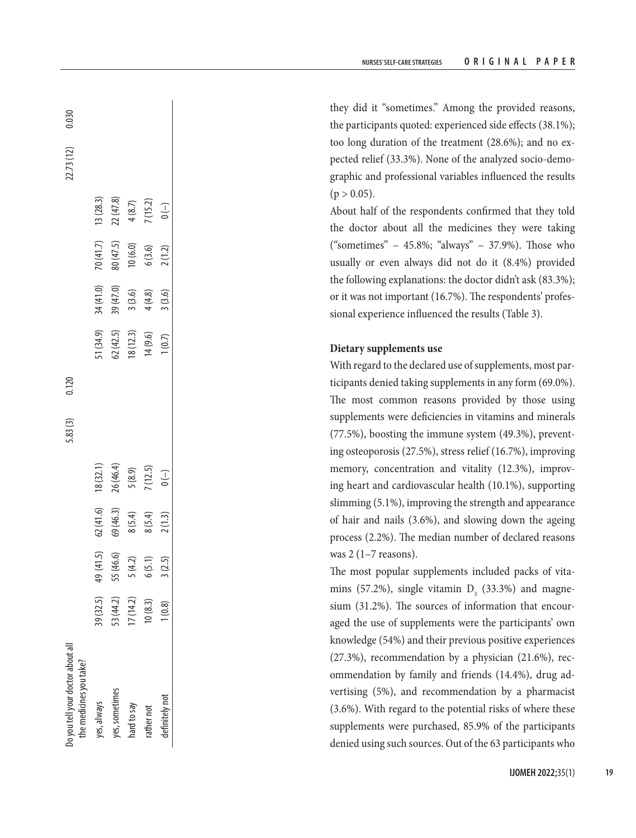they did it "sometimes." Among the provided reasons, the participants quoted: experienced side effects (38.1%); too long duration of the treatment (28.6%); and no ex pected relief (33.3%). None of the analyzed socio-demo graphic and professional variables influenced the results  $(p > 0.05)$ .

About half of the respondents confirmed that they told the doctor about all the medicines they were taking ("sometimes" – 45.8%; "always" – 37.9%). Those who usually or even always did not do it (8.4%) provided the following explanations: the doctor didn't ask (83.3%); or it was not important (16.7%). The respondents' profes sional experience influenced the results (Table 3).

# **Dietary supplements use**

With regard to the declared use of supplements, most par ticipants denied taking supplements in any form (69.0%). The most common reasons provided by those using supplements were deficiencies in vitamins and minerals (77.5%), boosting the immune system (49.3%), prevent ing osteoporosis (27.5%), stress relief (16.7%), improving memory, concentration and vitality (12.3%), improv ing heart and cardiovascular health (10.1%), supporting slimming (5.1%), improving the strength and appearance of hair and nails (3.6%), and slowing down the ageing process (2.2%). The median number of declared reasons was  $2(1-7$  reasons).

The most popular supplements included packs of vita mins (57.2%), single vitamin  $D_3$  (33.3%) and magnesium (31.2%). The sources of information that encour aged the use of supplements were the participants' own knowledge (54%) and their previous positive experiences (27.3%), recommendation by a physician (21.6%), rec ommendation by family and friends (14.4%), drug ad vertising (5%), and recommendation by a pharmacist (3.6%). With regard to the potential risks of where these supplements were purchased, 85.9% of the participants denied using such sources. Out of the 63 participants who

| o you tell your doctor about all<br>the medicines you take? |           |                                                     |                                              |                                               | 5.83(3) | 0.120 |                                                 |                                                         |                                                          |                                               | 22.73 (12) | .030 |
|-------------------------------------------------------------|-----------|-----------------------------------------------------|----------------------------------------------|-----------------------------------------------|---------|-------|-------------------------------------------------|---------------------------------------------------------|----------------------------------------------------------|-----------------------------------------------|------------|------|
| yes, always                                                 | 39 (32.5) |                                                     |                                              |                                               |         |       |                                                 |                                                         |                                                          |                                               |            |      |
| ves, sometimes                                              | 53(44.2)  |                                                     |                                              |                                               |         |       |                                                 |                                                         |                                                          |                                               |            |      |
| vard to say                                                 | 7(14.2)   |                                                     |                                              |                                               |         |       |                                                 |                                                         |                                                          |                                               |            |      |
| athernot                                                    | 10(8.3)   | 41.5)<br>55 (46.6)<br>5 (4.2)<br>6 (5.1)<br>3 (2.5) | 62 (41.6)<br>69 (46.3)<br>8 (5.4)<br>8 (5.4) | 18 (32.1)<br>26 (46.4)<br>5 (8.9)<br>7 (12.5) |         |       | 51 (34.9)<br>62 (42.5)<br>18 (12.3)<br>14 (9.6) | 34 (41.0)<br>39 (47.0)<br>3 (3.6)<br>4 (4.8)<br>4 (3.6) | 70 (41.7)<br>80 (47.5)<br>10 (6.0)<br>6 (3.6)<br>2 (1.2) | 13 (28.3)<br>22 (47.8)<br>4 (8.7)<br>7 (15.2) |            |      |
| lefinitely not                                              | (0.8)     |                                                     |                                              |                                               |         |       |                                                 |                                                         |                                                          |                                               |            |      |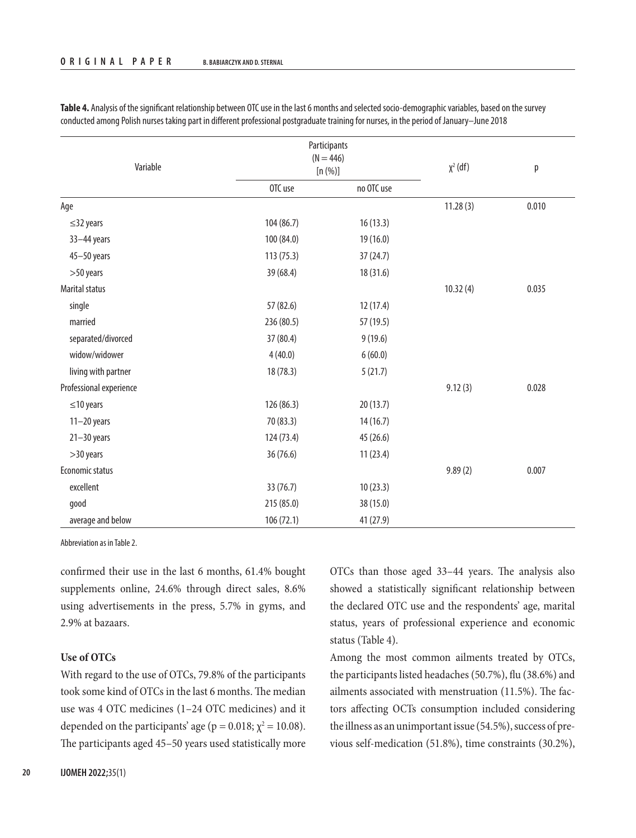| Variable                |            | Participants<br>$(N = 446)$<br>[n (%)] | $\chi^2$ (df) | p     |
|-------------------------|------------|----------------------------------------|---------------|-------|
|                         | OTC use    | no OTC use                             |               |       |
| Age                     |            |                                        | 11.28(3)      | 0.010 |
| $\leq$ 32 years         | 104(86.7)  | 16(13.3)                               |               |       |
| $33 - 44$ years         | 100 (84.0) | 19 (16.0)                              |               |       |
| 45-50 years             | 113(75.3)  | 37(24.7)                               |               |       |
| >50 years               | 39 (68.4)  | 18 (31.6)                              |               |       |
| Marital status          |            |                                        | 10.32(4)      | 0.035 |
| single                  | 57 (82.6)  | 12(17.4)                               |               |       |
| married                 | 236 (80.5) | 57 (19.5)                              |               |       |
| separated/divorced      | 37 (80.4)  | 9(19.6)                                |               |       |
| widow/widower           | 4(40.0)    | 6(60.0)                                |               |       |
| living with partner     | 18 (78.3)  | 5(21.7)                                |               |       |
| Professional experience |            |                                        | 9.12(3)       | 0.028 |
| $\leq$ 10 years         | 126 (86.3) | 20(13.7)                               |               |       |
| $11-20$ years           | 70 (83.3)  | 14(16.7)                               |               |       |
| $21 - 30$ years         | 124 (73.4) | 45 (26.6)                              |               |       |
| >30 years               | 36 (76.6)  | 11(23.4)                               |               |       |
| Economic status         |            |                                        | 9.89(2)       | 0.007 |
| excellent               | 33 (76.7)  | 10(23.3)                               |               |       |
| good                    | 215 (85.0) | 38 (15.0)                              |               |       |
| average and below       | 106(72.1)  | 41 (27.9)                              |               |       |

**Table 4.** Analysis of the significant relationship between OTC use in the last 6 months and selected socio-demographic variables, based on the survey conducted among Polish nurses taking part in different professional postgraduate training for nurses, in the period of January–June 2018

Abbreviation as in Table 2.

confirmed their use in the last 6 months, 61.4% bought supplements online, 24.6% through direct sales, 8.6% using advertisements in the press, 5.7% in gyms, and 2.9% at bazaars.

# **Use of OTCs**

With regard to the use of OTCs, 79.8% of the participants took some kind of OTCs in the last 6 months. The median use was 4 OTC medicines (1–24 OTC medicines) and it depended on the participants' age ( $p = 0.018$ ;  $\chi^2 = 10.08$ ). The participants aged 45–50 years used statistically more OTCs than those aged 33–44 years. The analysis also showed a statistically significant relationship between the declared OTC use and the respondents' age, marital status, years of professional experience and economic status (Table 4).

Among the most common ailments treated by OTCs, the participants listed headaches (50.7%), flu (38.6%) and ailments associated with menstruation (11.5%). The factors affecting OCTs consumption included considering the illness as an unimportant issue (54.5%), success of previous self-medication (51.8%), time constraints (30.2%),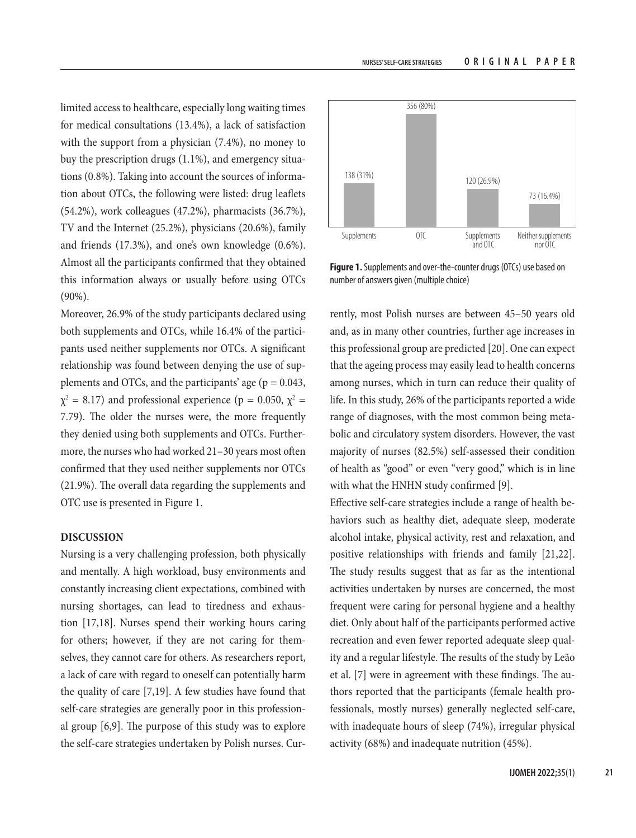limited access to healthcare, especially long waiting times for medical consultations (13.4%), a lack of satisfaction with the support from a physician (7.4%), no money to buy the prescription drugs (1.1%), and emergency situations (0.8%). Taking into account the sources of information about OTCs, the following were listed: drug leaflets (54.2%), work colleagues (47.2%), pharmacists (36.7%), TV and the Internet (25.2%), physicians (20.6%), family and friends (17.3%), and one's own knowledge (0.6%). Almost all the participants confirmed that they obtained this information always or usually before using OTCs (90%).

Moreover, 26.9% of the study participants declared using both supplements and OTCs, while 16.4% of the participants used neither supplements nor OTCs. A significant relationship was found between denying the use of supplements and OTCs, and the participants' age ( $p = 0.043$ ,  $\chi^2 = 8.17$ ) and professional experience (p = 0.050,  $\chi^2 =$ 7.79). The older the nurses were, the more frequently they denied using both supplements and OTCs. Furthermore, the nurses who had worked 21–30 years most often confirmed that they used neither supplements nor OTCs (21.9%). The overall data regarding the supplements and OTC use is presented in Figure 1.

# **DISCUSSION**

Nursing is a very challenging profession, both physically and mentally. A high workload, busy environments and constantly increasing client expectations, combined with nursing shortages, can lead to tiredness and exhaustion [17,18]. Nurses spend their working hours caring for others; however, if they are not caring for themselves, they cannot care for others. As researchers report, a lack of care with regard to oneself can potentially harm the quality of care [7,19]. A few studies have found that self-care strategies are generally poor in this professional group [6,9]. The purpose of this study was to explore the self-care strategies undertaken by Polish nurses. Cur-



**Figure 1.** Supplements and over-the-counter drugs (OTCs) use based on number of answers given (multiple choice)

rently, most Polish nurses are between 45–50 years old and, as in many other countries, further age increases in this professional group are predicted [20]. One can expect that the ageing process may easily lead to health concerns among nurses, which in turn can reduce their quality of life. In this study, 26% of the participants reported a wide range of diagnoses, with the most common being metabolic and circulatory system disorders. However, the vast majority of nurses (82.5%) self-assessed their condition of health as "good" or even "very good," which is in line with what the HNHN study confirmed [9].

Effective self-care strategies include a range of health behaviors such as healthy diet, adequate sleep, moderate alcohol intake, physical activity, rest and relaxation, and positive relationships with friends and family [21,22]. The study results suggest that as far as the intentional activities undertaken by nurses are concerned, the most frequent were caring for personal hygiene and a healthy diet. Only about half of the participants performed active recreation and even fewer reported adequate sleep quality and a regular lifestyle. The results of the study by Leão et al. [7] were in agreement with these findings. The authors reported that the participants (female health professionals, mostly nurses) generally neglected self-care, with inadequate hours of sleep (74%), irregular physical activity (68%) and inadequate nutrition (45%).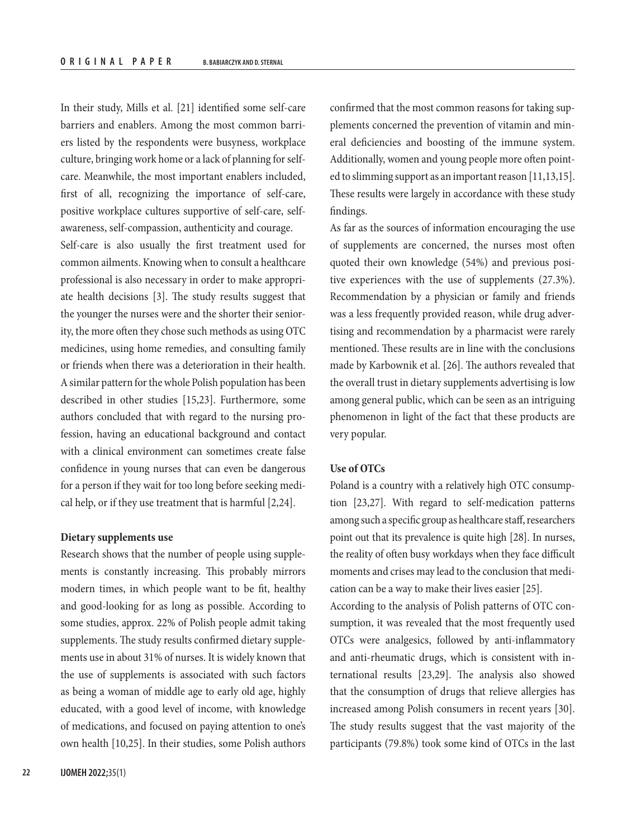In their study, Mills et al. [21] identified some self-care barriers and enablers. Among the most common barriers listed by the respondents were busyness, workplace culture, bringing work home or a lack of planning for selfcare. Meanwhile, the most important enablers included, first of all, recognizing the importance of self-care, positive workplace cultures supportive of self-care, selfawareness, self-compassion, authenticity and courage.

Self-care is also usually the first treatment used for common ailments. Knowing when to consult a healthcare professional is also necessary in order to make appropriate health decisions [3]. The study results suggest that the younger the nurses were and the shorter their seniority, the more often they chose such methods as using OTC medicines, using home remedies, and consulting family or friends when there was a deterioration in their health. A similar pattern for the whole Polish population has been described in other studies [15,23]. Furthermore, some authors concluded that with regard to the nursing profession, having an educational background and contact with a clinical environment can sometimes create false confidence in young nurses that can even be dangerous for a person if they wait for too long before seeking medical help, or if they use treatment that is harmful [2,24].

# **Dietary supplements use**

Research shows that the number of people using supplements is constantly increasing. This probably mirrors modern times, in which people want to be fit, healthy and good-looking for as long as possible. According to some studies, approx. 22% of Polish people admit taking supplements. The study results confirmed dietary supplements use in about 31% of nurses. It is widely known that the use of supplements is associated with such factors as being a woman of middle age to early old age, highly educated, with a good level of income, with knowledge of medications, and focused on paying attention to one's own health [10,25]. In their studies, some Polish authors

confirmed that the most common reasons for taking supplements concerned the prevention of vitamin and mineral deficiencies and boosting of the immune system. Additionally, women and young people more often pointed to slimming support as an important reason [11,13,15]. These results were largely in accordance with these study findings.

As far as the sources of information encouraging the use of supplements are concerned, the nurses most often quoted their own knowledge (54%) and previous positive experiences with the use of supplements (27.3%). Recommendation by a physician or family and friends was a less frequently provided reason, while drug advertising and recommendation by a pharmacist were rarely mentioned. These results are in line with the conclusions made by Karbownik et al. [26]. The authors revealed that the overall trust in dietary supplements advertising is low among general public, which can be seen as an intriguing phenomenon in light of the fact that these products are very popular.

# **Use of OTCs**

Poland is a country with a relatively high OTC consumption [23,27]. With regard to self-medication patterns among such a specific group as healthcare staff, researchers point out that its prevalence is quite high [28]. In nurses, the reality of often busy workdays when they face difficult moments and crises may lead to the conclusion that medication can be a way to make their lives easier [25].

According to the analysis of Polish patterns of OTC consumption, it was revealed that the most frequently used OTCs were analgesics, followed by anti-inflammatory and anti-rheumatic drugs, which is consistent with international results [23,29]. The analysis also showed that the consumption of drugs that relieve allergies has increased among Polish consumers in recent years [30]. The study results suggest that the vast majority of the participants (79.8%) took some kind of OTCs in the last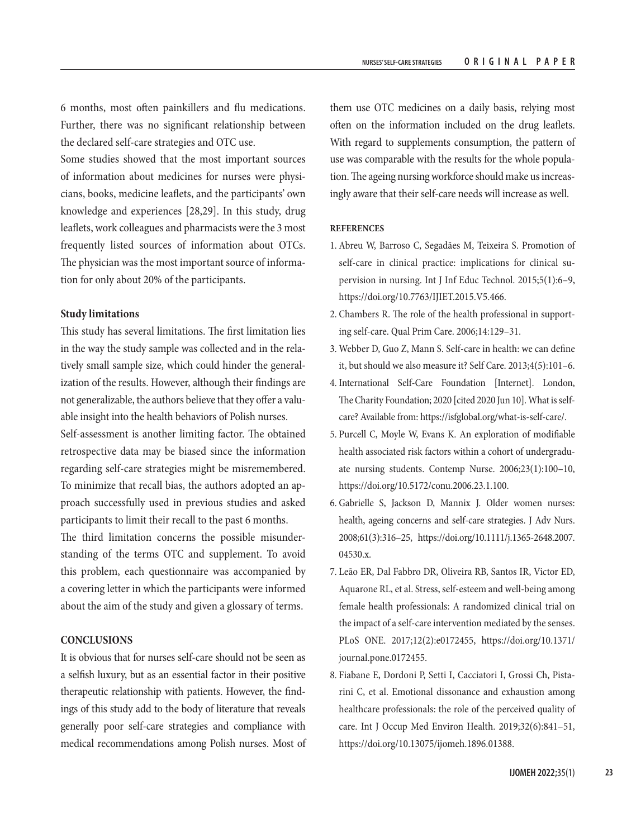6 months, most often painkillers and flu medications. Further, there was no significant relationship between the declared self-care strategies and OTC use.

Some studies showed that the most important sources of information about medicines for nurses were physicians, books, medicine leaflets, and the participants' own knowledge and experiences [28,29]. In this study, drug leaflets, work colleagues and pharmacists were the 3 most frequently listed sources of information about OTCs. The physician was the most important source of information for only about 20% of the participants.

# **Study limitations**

This study has several limitations. The first limitation lies in the way the study sample was collected and in the relatively small sample size, which could hinder the generalization of the results. However, although their findings are not generalizable, the authors believe that they offer a valuable insight into the health behaviors of Polish nurses. Self-assessment is another limiting factor. The obtained retrospective data may be biased since the information regarding self-care strategies might be misremembered. To minimize that recall bias, the authors adopted an approach successfully used in previous studies and asked participants to limit their recall to the past 6 months.

The third limitation concerns the possible misunderstanding of the terms OTC and supplement. To avoid this problem, each questionnaire was accompanied by a covering letter in which the participants were informed about the aim of the study and given a glossary of terms.

# **CONCLUSIONS**

It is obvious that for nurses self-care should not be seen as a selfish luxury, but as an essential factor in their positive therapeutic relationship with patients. However, the findings of this study add to the body of literature that reveals generally poor self-care strategies and compliance with medical recommendations among Polish nurses. Most of them use OTC medicines on a daily basis, relying most often on the information included on the drug leaflets. With regard to supplements consumption, the pattern of use was comparable with the results for the whole population. The ageing nursing workforce should make us increasingly aware that their self-care needs will increase as well.

# **REFERENCES**

- 1. Abreu W, Barroso C, Segadães M, Teixeira S. Promotion of self-care in clinical practice: implications for clinical supervision in nursing. Int J Inf Educ Technol. 2015;5(1):6–9, <https://doi.org/10.7763/IJIET.2015.V5.466>.
- 2. Chambers R. The role of the health professional in supporting self-care. Qual Prim Care. 2006;14:129–31.
- 3. Webber D, Guo Z, Mann S. Self-care in health: we can define it, but should we also measure it? Self Care. 2013;4(5):101–6.
- 4. International Self-Care Foundation [Internet]. London, The Charity Foundation; 2020 [cited 2020 Jun 10]. What is selfcare? Available from: [https://isfglobal.org/what-is-self-care/.](https://isfglobal.org/what-is-self-care/)
- 5. Purcell C, Moyle W, Evans K. An exploration of modifiable health associated risk factors within a cohort of undergraduate nursing students. Contemp Nurse. 2006;23(1):100–10, [https://doi.org/10.5172/conu.2006.23.1.100.](https://doi.org/10.5172/conu.2006.23.1.100)
- 6. Gabrielle S, Jackson D, Mannix J. Older women nurses: health, ageing concerns and self-care strategies. J Adv Nurs. 2008;61(3):316–25, [https://doi.org/10.1111/j.1365-2648.2007.](https://doi.org/10.1111/j.1365-2648.2007.04530.x) [04530.x.](https://doi.org/10.1111/j.1365-2648.2007.04530.x)
- 7. Leão ER, Dal Fabbro DR, Oliveira RB, Santos IR, Victor ED, Aquarone RL, et al. Stress, self-esteem and well-being among female health professionals: A randomized clinical trial on the impact of a self-care intervention mediated by the senses. PLoS ONE. 2017;12(2):e0172455, [https://doi.org/10.1371/](https://doi.org/10.1371/journal.pone.0172455) [journal.pone.0172455.](https://doi.org/10.1371/journal.pone.0172455)
- 8. Fiabane E, Dordoni P, Setti I, Cacciatori I, Grossi Ch, Pistarini C, et al. Emotional dissonance and exhaustion among healthcare professionals: the role of the perceived quality of care. Int J Occup Med Environ Health. 2019;32(6):841–51, <https://doi.org/10.13075/ijomeh.1896.01388>.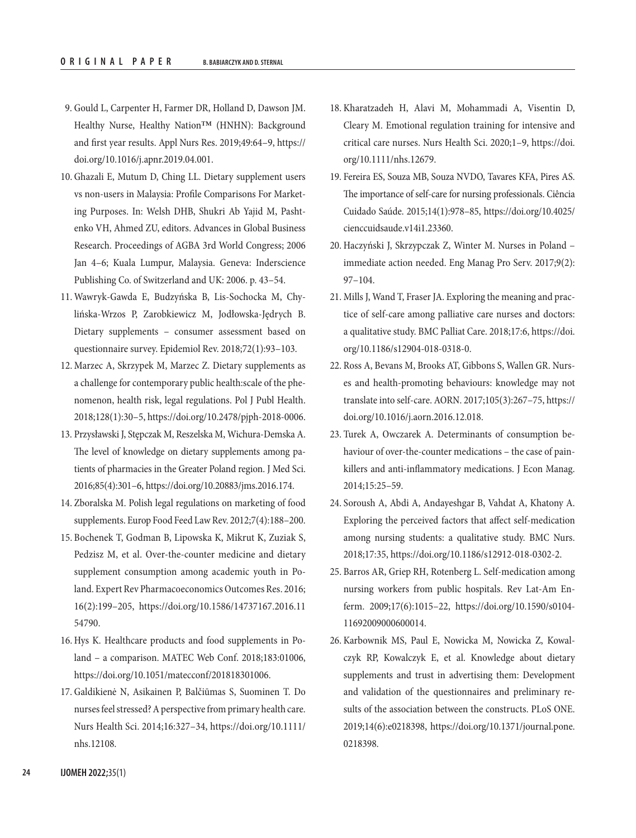- 9. Gould L, Carpenter H, Farmer DR, Holland D, Dawson JM. Healthy Nurse, Healthy Nation<sup>™</sup> (HNHN): Background and first year results. Appl Nurs Res. 2019;49:64–9, [https://](https://doi.org/10.1016/j.apnr.2019.04.001) [doi.org/10.1016/j.apnr.2019.04.001.](https://doi.org/10.1016/j.apnr.2019.04.001)
- 10. Ghazali E, Mutum D, Ching LL. Dietary supplement users vs non-users in Malaysia: Profile Comparisons For Marketing Purposes. In: Welsh DHB, Shukri Ab Yajid M, Pashtenko VH, Ahmed ZU, editors. Advances in Global Business Research. Proceedings of AGBA 3rd World Congress; 2006 Jan 4–6; Kuala Lumpur, Malaysia. Geneva: Inderscience Publishing Co. of Switzerland and UK: 2006. p. 43–54.
- 11. Wawryk-Gawda E, Budzyńska B, Lis-Sochocka M, Chylińska-Wrzos P, Zarobkiewicz M, Jodłowska-Jędrych B. Dietary supplements – consumer assessment based on questionnaire survey. Epidemiol Rev. 2018;72(1):93–103.
- 12. Marzec A, Skrzypek M, Marzec Z. Dietary supplements as a challenge for contemporary public health:scale of the phenomenon, health risk, legal regulations. Pol J Publ Health. 2018;128(1):30–5,<https://doi.org/10.2478/pjph-2018-0006>.
- 13. Przysławski J, Stępczak M, Reszelska M, Wichura-Demska A. The level of knowledge on dietary supplements among patients of pharmacies in the Greater Poland region. J Med Sci. 2016;85(4):301–6, [https://doi.org/10.20883/jms.2016.174.](https://doi.org/10.20883/jms.2016.174)
- 14. Zboralska M. Polish legal regulations on marketing of food supplements. Europ Food Feed Law Rev. 2012;7(4):188–200.
- 15. Bochenek T, Godman B, Lipowska K, Mikrut K, Zuziak S, Pedzisz M, et al. Over-the-counter medicine and dietary supplement consumption among academic youth in Poland. Expert Rev Pharmacoeconomics Outcomes Res. 2016; 16(2):199–205, [https://doi.org/10.1586/14737167.2016.11](https://doi.org/10.1586/14737167.2016.1154790) [54790.](https://doi.org/10.1586/14737167.2016.1154790)
- 16. Hys K. Healthcare products and food supplements in Poland – a comparison. MATEC Web Conf. 2018;183:01006, [https://doi.org/10.1051/matecconf/201818301006.](https://doi.org/10.1051/matecconf/201818301006)
- 17. Galdikienė N, Asikainen P, Balčiūmas S, Suominen T. Do nurses feel stressed? A perspective from primary health care. Nurs Health Sci. 2014;16:327–34, [https://doi.org/10.1111/](https://doi.org/10.1111/nhs.12108) [nhs.12108](https://doi.org/10.1111/nhs.12108).
- 18. Kharatzadeh H, Alavi M, Mohammadi A, Visentin D, Cleary M. Emotional regulation training for intensive and critical care nurses. Nurs Health Sci. 2020;1–9, [https://doi.](https://doi.org/10.1111/nhs.12679) [org/10.1111/nhs.12679](https://doi.org/10.1111/nhs.12679).
- 19. Fereira ES, Souza MB, Souza NVDO, Tavares KFA, Pires AS. The importance of self-care for nursing professionals. Ciência Cuidado Saúde. 2015;14(1):978–85, [https://doi.org/10.4025/](https://doi.org/10.4025/cienccuidsaude.v14i1.23360) [cienccuidsaude.v14i1.23360](https://doi.org/10.4025/cienccuidsaude.v14i1.23360).
- 20. Haczyński J, Skrzypczak Z, Winter M. Nurses in Poland immediate action needed. Eng Manag Pro Serv. 2017;9(2): 97–104.
- 21. Mills J, Wand T, Fraser JA. Exploring the meaning and practice of self-care among palliative care nurses and doctors: a qualitative study. BMC Palliat Care. 2018;17:6, [https://doi.](https://doi.org/10.1186/s12904-018-0318-0) [org/10.1186/s12904-018-0318-0](https://doi.org/10.1186/s12904-018-0318-0).
- 22. Ross A, Bevans M, Brooks AT, Gibbons S, Wallen GR. Nurses and health-promoting behaviours: knowledge may not translate into self-care. AORN. 2017;105(3):267–75, [https://](https://doi.org/10.1016/j.aorn.2016.12.018) [doi.org/10.1016/j.aorn.2016.12.018.](https://doi.org/10.1016/j.aorn.2016.12.018)
- 23. Turek A, Owczarek A. Determinants of consumption behaviour of over-the-counter medications – the case of painkillers and anti-inflammatory medications. J Econ Manag. 2014;15:25–59.
- 24. Soroush A, Abdi A, Andayeshgar B, Vahdat A, Khatony A. Exploring the perceived factors that affect self-medication among nursing students: a qualitative study. BMC Nurs. 2018;17:35, <https://doi.org/10.1186/s12912-018-0302-2>.
- 25. Barros AR, Griep RH, Rotenberg L. Self-medication among nursing workers from public hospitals. Rev Lat-Am Enferm. 2009;17(6):1015–22, [https://doi.org/10.1590/s0104-](https://doi.org/10.1590/s0104-11692009000600014) [11692009000600014](https://doi.org/10.1590/s0104-11692009000600014).
- 26. Karbownik MS, Paul E, Nowicka M, Nowicka Z, Kowalczyk RP, Kowalczyk E, et al. Knowledge about dietary supplements and trust in advertising them: Development and validation of the questionnaires and preliminary results of the association between the constructs. PLoS ONE. 2019;14(6):e0218398, [https://doi.org/10.1371/journal.pone.](https://doi.org/10.1371/journal.pone.0218398) [0218398.](https://doi.org/10.1371/journal.pone.0218398)